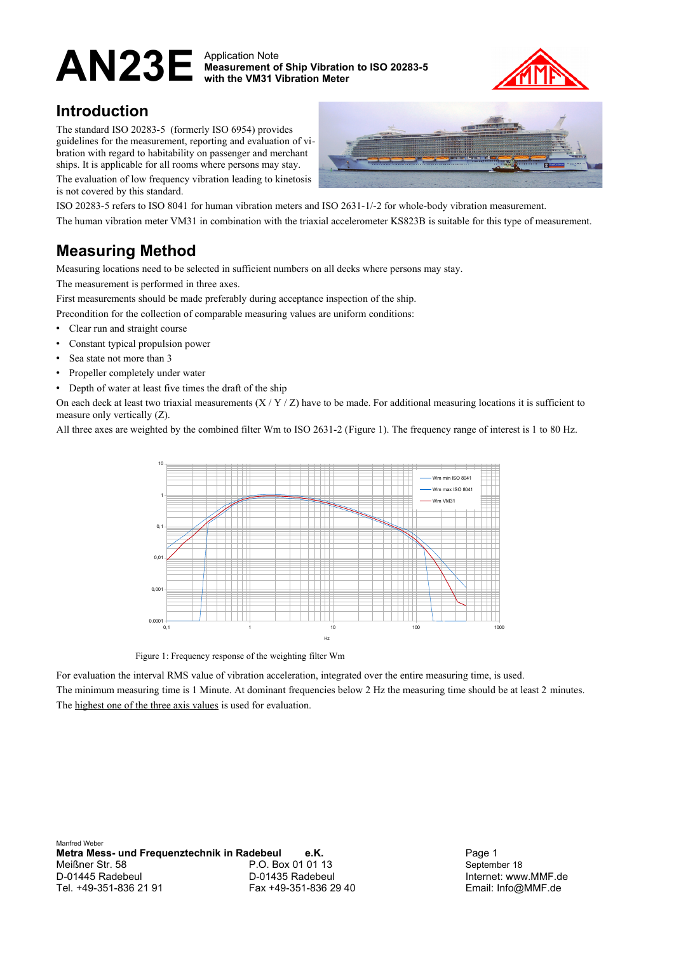# AN23E Application Note

**Measurement of Ship Vibration to ISO 20283-5 with the VM31 Vibration Meter**



### **Introduction**

The standard ISO 20283-5 (formerly ISO 6954) provides guidelines for the measurement, reporting and evaluation of vibration with regard to habitability on passenger and merchant ships. It is applicable for all rooms where persons may stay. The evaluation of low frequency vibration leading to kinetosis is not covered by this standard.



ISO 20283-5 refers to ISO 8041 for human vibration meters and ISO 2631-1/-2 for whole-body vibration measurement. The human vibration meter VM31 in combination with the triaxial accelerometer KS823B is suitable for this type of measurement.

## **Measuring Method**

Measuring locations need to be selected in sufficient numbers on all decks where persons may stay.

The measurement is performed in three axes.

First measurements should be made preferably during acceptance inspection of the ship.

- Precondition for the collection of comparable measuring values are uniform conditions:
- Clear run and straight course
- Constant typical propulsion power
- Sea state not more than 3
- Propeller completely under water
- Depth of water at least five times the draft of the ship

On each deck at least two triaxial measurements  $(X/Y/Z)$  have to be made. For additional measuring locations it is sufficient to measure only vertically (Z).

All three axes are weighted by the combined filter Wm to ISO 2631-2 [\(Figure 1\)](#page-0-0). The frequency range of interest is 1 to 80 Hz.



<span id="page-0-0"></span>Figure 1: Frequency response of the weighting filter Wm

For evaluation the interval RMS value of vibration acceleration, integrated over the entire measuring time, is used. The minimum measuring time is 1 Minute. At dominant frequencies below 2 Hz the measuring time should be at least 2 minutes. The highest one of the three axis values is used for evaluation.